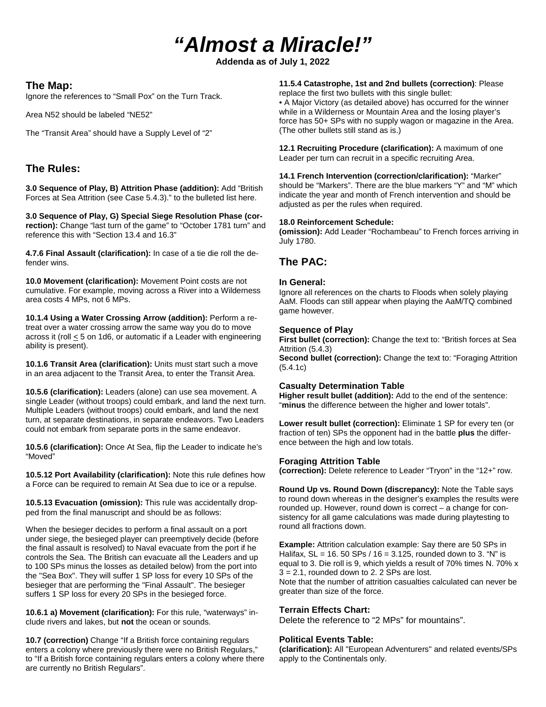# *"Almost a Miracle!"*

**Addenda as of July 1, 2022**

### **The Map:**

Ignore the references to "Small Pox" on the Turn Track.

Area N52 should be labeled "NE52"

The "Transit Area" should have a Supply Level of "2"

## **The Rules:**

**3.0 Sequence of Play, B) Attrition Phase (addition):** Add "British Forces at Sea Attrition (see Case 5.4.3)." to the bulleted list here.

**3.0 Sequence of Play, G) Special Siege Resolution Phase (cor**rection): Change "last turn of the game" to "October 1781 turn" and reference this with "Section 13.4 and 16.3"

**4.7.6 Final Assault (clarification):** In case of a tie die roll the defender wins.

**10.0 Movement (clarification):** Movement Point costs are not cumulative. For example, moving across a River into a Wilderness area costs 4 MPs, not 6 MPs.

**10.1.4 Using a Water Crossing Arrow (addition):** Perform a retreat over a water crossing arrow the same way you do to move across it (roll < 5 on 1d6, or automatic if a Leader with engineering ability is present).

**10.1.6 Transit Area (clarification):** Units must start such a move in an area adjacent to the Transit Area, to enter the Transit Area.

**10.5.6 (clarification):** Leaders (alone) can use sea movement. A single Leader (without troops) could embark, and land the next turn. Multiple Leaders (without troops) could embark, and land the next turn, at separate destinations, in separate endeavors. Two Leaders could not embark from separate ports in the same endeavor.

**10.5.6 (clarification):** Once At Sea, flip the Leader to indicate he's "Moved"

**10.5.12 Port Availability (clarification):** Note this rule defines how a Force can be required to remain At Sea due to ice or a repulse.

**10.5.13 Evacuation (omission):** This rule was accidentally dropped from the final manuscript and should be as follows:

When the besieger decides to perform a final assault on a port under siege, the besieged player can preemptively decide (before the final assault is resolved) to Naval evacuate from the port if he controls the Sea. The British can evacuate all the Leaders and up to 100 SPs minus the losses as detailed below) from the port into the "Sea Box". They will suffer 1 SP loss for every 10 SPs of the besieger that are performing the "Final Assault". The besieger suffers 1 SP loss for every 20 SPs in the besieged force.

**10.6.1 a) Movement (clarification):** For this rule, "waterways" include rivers and lakes, but **not** the ocean or sounds.

**10.7 (correction)** Change "If a British force containing regulars enters a colony where previously there were no British Regulars," to "If a British force containing regulars enters a colony where there are currently no British Regulars".

**11.5.4 Catastrophe, 1st and 2nd bullets (correction)**: Please replace the first two bullets with this single bullet:

• A Major Victory (as detailed above) has occurred for the winner while in a Wilderness or Mountain Area and the losing player's force has 50+ SPs with no supply wagon or magazine in the Area. (The other bullets still stand as is.)

**12.1 Recruiting Procedure (clarification):** A maximum of one Leader per turn can recruit in a specific recruiting Area.

**14.1 French Intervention (correction/clarification):** "Marker" should be "Markers". There are the blue markers "Y" and "M" which indicate the year and month of French intervention and should be adjusted as per the rules when required.

#### **18.0 Reinforcement Schedule:**

**(omission):** Add Leader "Rochambeau" to French forces arriving in July 1780.

## **The PAC:**

#### **In General:**

Ignore all references on the charts to Floods when solely playing AaM. Floods can still appear when playing the AaM/TQ combined game however.

#### **Sequence of Play**

**First bullet (correction):** Change the text to: "British forces at Sea Attrition (5.4.3)

**Second bullet (correction):** Change the text to: "Foraging Attrition (5.4.1c)

#### **Casualty Determination Table**

**Higher result bullet (addition):** Add to the end of the sentence: "**minus** the difference between the higher and lower totals".

**Lower result bullet (correction):** Eliminate 1 SP for every ten (or fraction of ten) SPs the opponent had in the battle **plus** the difference between the high and low totals.

#### **Foraging Attrition Table**

**(correction):** Delete reference to Leader "Tryon" in the "12+" row.

**Round Up vs. Round Down (discrepancy):** Note the Table says to round down whereas in the designer's examples the results were rounded up. However, round down is correct – a change for consistency for all game calculations was made during playtesting to round all fractions down.

**Example:** Attrition calculation example: Say there are 50 SPs in Halifax,  $SL = 16.50$  SPs  $/ 16 = 3.125$ , rounded down to 3. "N" is equal to 3. Die roll is 9, which yields a result of 70% times N. 70% x  $3 = 2.1$ , rounded down to 2. 2 SPs are lost. Note that the number of attrition casualties calculated can never be greater than size of the force.

# **Terrain Effects Chart:**

Delete the reference to "2 MPs" for mountains".

#### **Political Events Table:**

**(clarification):** All "European Adventurers" and related events/SPs apply to the Continentals only.